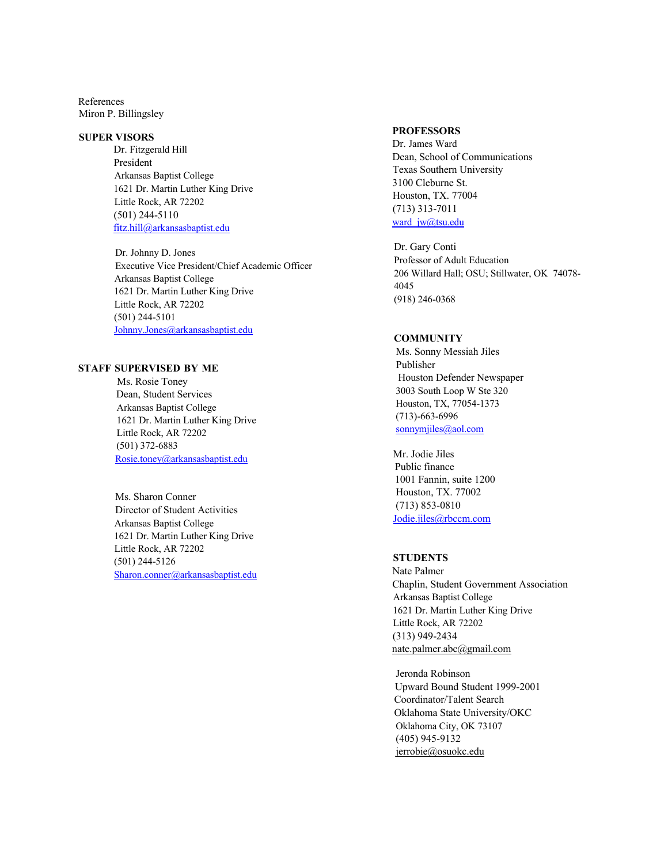References Miron P. Billingsley

#### **SUPER VISORS**

 Dr. Fitzgerald Hill President Arkansas Baptist College 1621 Dr. Martin Luther King Drive Little Rock, AR 72202 (501) 244-5110 fitz.hill@arkansasbaptist.edu

Dr. Johnny D. Jones Executive Vice President/Chief Academic Officer Arkansas Baptist College 1621 Dr. Martin Luther King Drive Little Rock, AR 72202 (501) 244-5101 Johnny.Jones@arkansasbaptist.edu

#### **STAFF SUPERVISED BY ME**

Ms. Rosie Toney Dean, Student Services Arkansas Baptist College 1621 Dr. Martin Luther King Drive Little Rock, AR 72202 (501) 372-6883 Rosie.toney@arkansasbaptist.edu

Ms. Sharon Conner Director of Student Activities Arkansas Baptist College 1621 Dr. Martin Luther King Drive Little Rock, AR 72202 (501) 244-5126 Sharon.conner@arkansasbaptist.edu

#### **PROFESSORS**

Dr. James Ward Dean, School of Communications Texas Southern University 3100 Cleburne St. Houston, TX. 77004 (713) 313-7011 ward\_jw@tsu.edu

Dr. Gary Conti Professor of Adult Education 206 Willard Hall; OSU; Stillwater, OK 74078- 4045 (918) 246-0368

## **COMMUNITY**

Ms. Sonny Messiah Jiles Publisher Houston Defender Newspaper 3003 South Loop W Ste 320 Houston, TX, 77054-1373 (713)-663-6996 sonnymjiles@aol.com

Mr. Jodie Jiles Public finance 1001 Fannin, suite 1200 Houston, TX. 77002 (713) 853-0810 Jodie.jiles@rbccm.com

# **STUDENTS**

Nate Palmer Chaplin, Student Government Association Arkansas Baptist College 1621 Dr. Martin Luther King Drive Little Rock, AR 72202 (313) 949-2434 nate.palmer.abc@gmail.com

Jeronda Robinson Upward Bound Student 1999-2001 Coordinator/Talent Search Oklahoma State University/OKC Oklahoma City, OK 73107 (405) 945-9132 jerrobie@osuokc.edu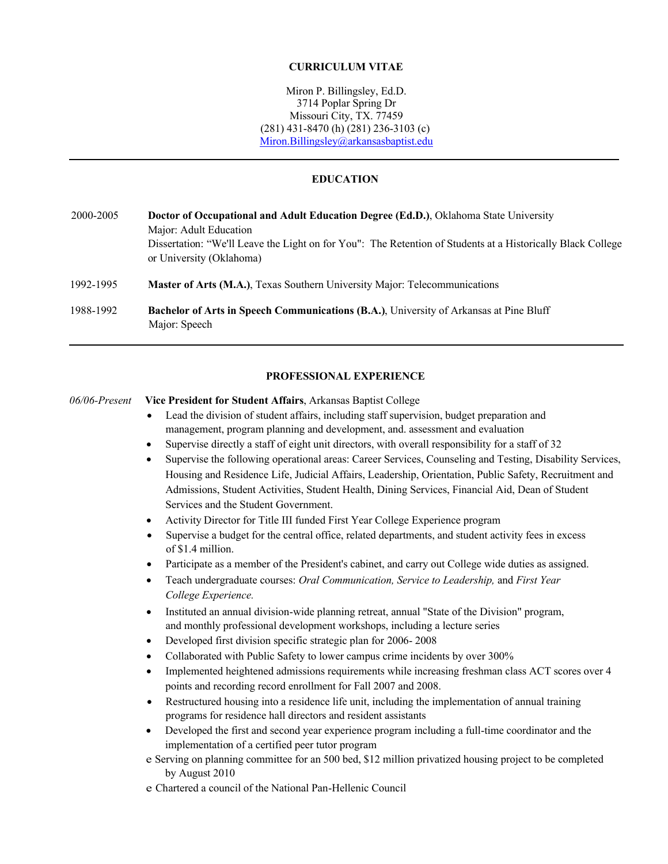#### **CURRICULUM VITAE**

Miron P. Billingsley, Ed.D. 3714 Poplar Spring Dr Missouri City, TX. 77459 (281) 431-8470 (h) (281) 236-3103 (c) Miron.Billingsley@arkansasbaptist.edu

#### **EDUCATION**

2000-2005 **Doctor of Occupational and Adult Education Degree (Ed.D.)**, Oklahoma State University Major: Adult Education Dissertation: "We'll Leave the Light on for You": The Retention of Students at a Historically Black College or University (Oklahoma) 1992-1995 **Master of Arts (M.A.)**, Texas Southern University Major: Telecommunications 1988-1992 **Bachelor of Arts in Speech Communications (B.A.)**, University of Arkansas at Pine Bluff

#### **PROFESSIONAL EXPERIENCE**

#### *06/06-Present* **Vice President for Student Affairs**, Arkansas Baptist College

Major: Speech

- Lead the division of student affairs, including staff supervision, budget preparation and management, program planning and development, and. assessment and evaluation
- Supervise directly a staff of eight unit directors, with overall responsibility for a staff of 32
- Supervise the following operational areas: Career Services, Counseling and Testing, Disability Services, Housing and Residence Life, Judicial Affairs, Leadership, Orientation, Public Safety, Recruitment and Admissions, Student Activities, Student Health, Dining Services, Financial Aid, Dean of Student Services and the Student Government.
- Activity Director for Title III funded First Year College Experience program
- Supervise a budget for the central office, related departments, and student activity fees in excess of \$1.4 million.
- Participate as a member of the President's cabinet, and carry out College wide duties as assigned.
- Teach undergraduate courses: *Oral Communication, Service to Leadership,* and *First Year College Experience.*
- Instituted an annual division-wide planning retreat, annual "State of the Division" program, and monthly professional development workshops, including a lecture series
- Developed first division specific strategic plan for 2006- 2008
- Collaborated with Public Safety to lower campus crime incidents by over 300%
- Implemented heightened admissions requirements while increasing freshman class ACT scores over 4 points and recording record enrollment for Fall 2007 and 2008.
- Restructured housing into a residence life unit, including the implementation of annual training programs for residence hall directors and resident assistants
- Developed the first and second year experience program including a full-time coordinator and the implementation of a certified peer tutor program
- e Serving on planning committee for an 500 bed, \$12 million privatized housing project to be completed by August 2010
- e Chartered a council of the National Pan-Hellenic Council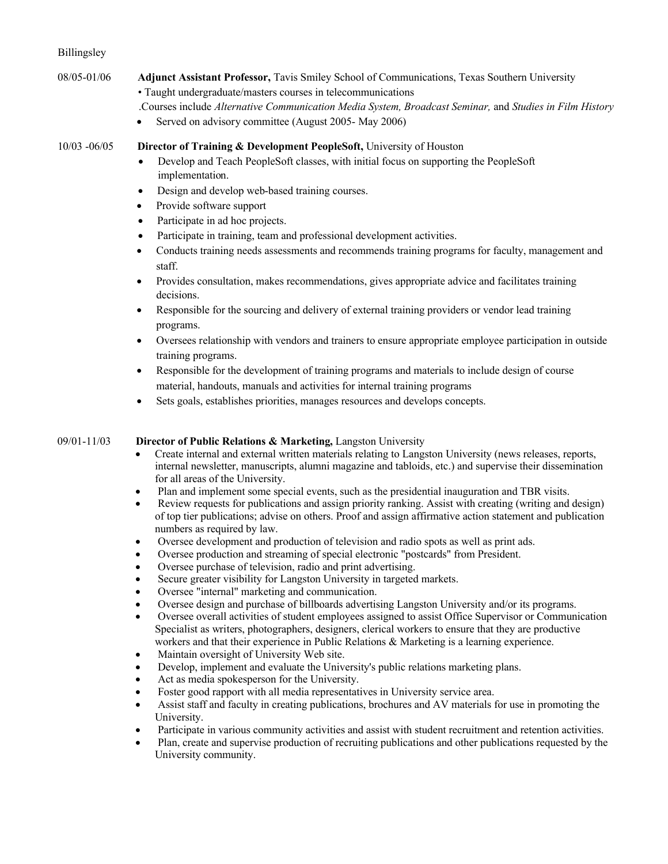## Billingsley

- 08/05-01/06 **Adjunct Assistant Professor,** Tavis Smiley School of Communications, Texas Southern University • Taught undergraduate/masters courses in telecommunications
	- .Courses include *Alternative Communication Media System, Broadcast Seminar,* and *Studies in Film History*
	- Served on advisory committee (August 2005- May 2006)

10/03 -06/05 **Director of Training & Development PeopleSoft,** University of Houston

- Develop and Teach PeopleSoft classes, with initial focus on supporting the PeopleSoft implementation.
- Design and develop web-based training courses.
- Provide software support
- Participate in ad hoc projects.
- Participate in training, team and professional development activities.
- Conducts training needs assessments and recommends training programs for faculty, management and staff.
- Provides consultation, makes recommendations, gives appropriate advice and facilitates training decisions.
- Responsible for the sourcing and delivery of external training providers or vendor lead training programs.
- Oversees relationship with vendors and trainers to ensure appropriate employee participation in outside training programs.
- Responsible for the development of training programs and materials to include design of course material, handouts, manuals and activities for internal training programs
- Sets goals, establishes priorities, manages resources and develops concepts.

## 09/01-11/03 **Director of Public Relations & Marketing,** Langston University

- Create internal and external written materials relating to Langston University (news releases, reports, internal newsletter, manuscripts, alumni magazine and tabloids, etc.) and supervise their dissemination for all areas of the University.
- Plan and implement some special events, such as the presidential inauguration and TBR visits.
- Review requests for publications and assign priority ranking. Assist with creating (writing and design) of top tier publications; advise on others. Proof and assign affirmative action statement and publication numbers as required by law.
- Oversee development and production of television and radio spots as well as print ads.
- Oversee production and streaming of special electronic "postcards" from President.
- Oversee purchase of television, radio and print advertising.
- Secure greater visibility for Langston University in targeted markets.
- Oversee "internal" marketing and communication.
- Oversee design and purchase of billboards advertising Langston University and/or its programs.
- Oversee overall activities of student employees assigned to assist Office Supervisor or Communication Specialist as writers, photographers, designers, clerical workers to ensure that they are productive workers and that their experience in Public Relations & Marketing is a learning experience.
- Maintain oversight of University Web site.
- Develop, implement and evaluate the University's public relations marketing plans.
- Act as media spokesperson for the University.
- Foster good rapport with all media representatives in University service area.
- Assist staff and faculty in creating publications, brochures and AV materials for use in promoting the University.
- Participate in various community activities and assist with student recruitment and retention activities.
- Plan, create and supervise production of recruiting publications and other publications requested by the University community.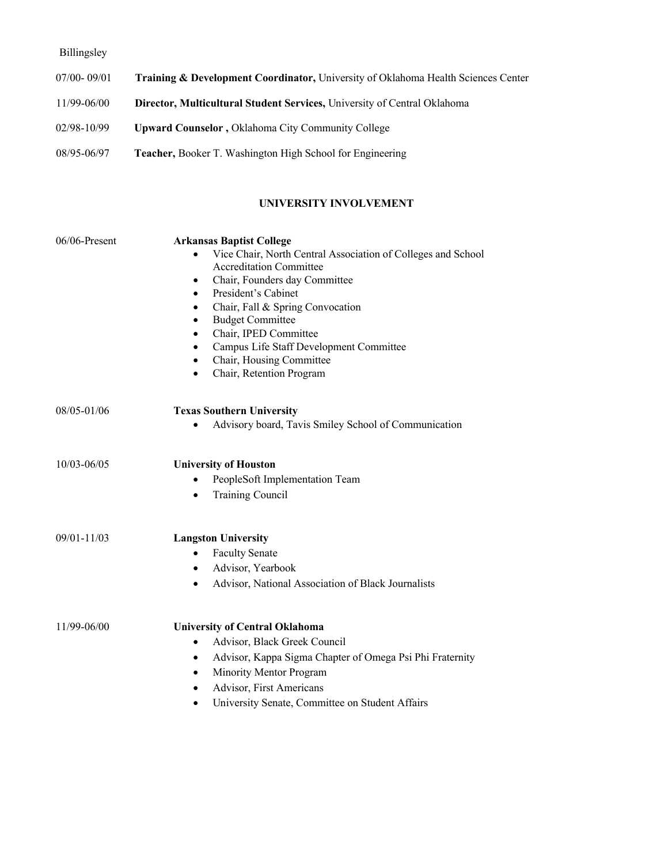# Billingsley

| $07/00 - 09/01$ | <b>Training &amp; Development Coordinator, University of Oklahoma Health Sciences Center</b> |
|-----------------|----------------------------------------------------------------------------------------------|
| 11/99-06/00     | <b>Director, Multicultural Student Services, University of Central Oklahoma</b>              |
| 02/98-10/99     | <b>Upward Counselor, Oklahoma City Community College</b>                                     |
| 08/95-06/97     | <b>Teacher, Booker T. Washington High School for Engineering</b>                             |

## **UNIVERSITY INVOLVEMENT**

| 06/06-Present   | <b>Arkansas Baptist College</b><br>Vice Chair, North Central Association of Colleges and School<br><b>Accreditation Committee</b><br>Chair, Founders day Committee<br>$\bullet$<br>President's Cabinet<br>$\bullet$<br>Chair, Fall & Spring Convocation<br>$\bullet$<br><b>Budget Committee</b><br>$\bullet$<br>Chair, IPED Committee<br>$\bullet$<br>Campus Life Staff Development Committee<br>$\bullet$<br>Chair, Housing Committee<br>$\bullet$ |
|-----------------|-----------------------------------------------------------------------------------------------------------------------------------------------------------------------------------------------------------------------------------------------------------------------------------------------------------------------------------------------------------------------------------------------------------------------------------------------------|
|                 | Chair, Retention Program<br>$\bullet$                                                                                                                                                                                                                                                                                                                                                                                                               |
| 08/05-01/06     | <b>Texas Southern University</b><br>Advisory board, Tavis Smiley School of Communication                                                                                                                                                                                                                                                                                                                                                            |
| $10/03 - 06/05$ | <b>University of Houston</b><br>PeopleSoft Implementation Team<br><b>Training Council</b><br>$\bullet$                                                                                                                                                                                                                                                                                                                                              |
| $09/01 - 11/03$ | <b>Langston University</b><br><b>Faculty Senate</b><br>$\bullet$<br>Advisor, Yearbook<br>$\bullet$<br>Advisor, National Association of Black Journalists<br>$\bullet$                                                                                                                                                                                                                                                                               |
| 11/99-06/00     | <b>University of Central Oklahoma</b><br>Advisor, Black Greek Council<br>$\bullet$<br>Advisor, Kappa Sigma Chapter of Omega Psi Phi Fraternity<br>$\bullet$<br>Minority Mentor Program<br>$\bullet$<br>Advisor, First Americans<br>University Senate, Committee on Student Affairs<br>$\bullet$                                                                                                                                                     |